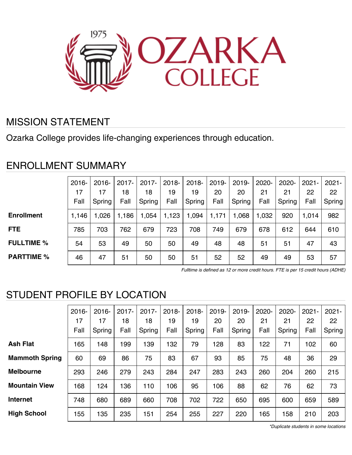

### MISSION STATEMENT

Ozarka College provides life-changing experiences through education.

### ENROLLMENT SUMMARY

|                   | $2016 -$ | $2016 -$ | $2017 -$ | $2017 -$ | $2018 -$ | $2018 -$ | $2019 -$ | $2019 -$ | 2020- | 2020-  | $2021 -$ | $2021 -$ |
|-------------------|----------|----------|----------|----------|----------|----------|----------|----------|-------|--------|----------|----------|
|                   | 17       | 17       | 18       | 18       | 19       | 19       | 20       | 20       | 21    | 21     | 22       | 22       |
|                   | Fall     | Spring   | Fall     | Spring   | Fall     | Spring   | Fall     | Spring   | Fall  | Spring | Fall     | Spring   |
| <b>Enrollment</b> | 1,146    | 1,026    | 1,186    | 1,054    | 1,123    | 1,094    | 1,171    | 1,068    | 1,032 | 920    | 1,014    | 982      |
| <b>FTE</b>        | 785      | 703      | 762      | 679      | 723      | 708      | 749      | 679      | 678   | 612    | 644      | 610      |
| <b>FULLTIME %</b> | 54       | 53       | 49       | 50       | 50       | 49       | 48       | 48       | 51    | 51     | 47       | 43       |
| <b>PARTTIME %</b> | 46       | 47       | 51       | 50       | 50       | 51       | 52       | 52       | 49    | 49     | 53       | 57       |

Fulltime is defined as 12 or more credit hours. FTE is per 15 credit hours (ADHE)

# STUDENT PROFILE BY LOCATION

|                       | $2016 -$<br>17<br>Fall | $2016 -$<br>17<br>Spring | 2017-<br>18<br>Fall | $2017 -$<br>18<br>Spring | $2018 -$<br>19<br>Fall | $2018 -$<br>19<br>Spring | 2019-<br>20<br>Fall | $2019 -$<br>20<br>Spring | 2020-<br>21<br>Fall | 2020-<br>21<br>Spring | $2021 -$<br>22<br>Fall | $2021 -$<br>22<br>Spring |
|-----------------------|------------------------|--------------------------|---------------------|--------------------------|------------------------|--------------------------|---------------------|--------------------------|---------------------|-----------------------|------------------------|--------------------------|
| <b>Ash Flat</b>       | 165                    | 148                      | 199                 | 139                      | 132                    | 79                       | 128                 | 83                       | 122                 | 71                    | 102                    | 60                       |
| <b>Mammoth Spring</b> | 60                     | 69                       | 86                  | 75                       | 83                     | 67                       | 93                  | 85                       | 75                  | 48                    | 36                     | 29                       |
| <b>Melbourne</b>      | 293                    | 246                      | 279                 | 243                      | 284                    | 247                      | 283                 | 243                      | 260                 | 204                   | 260                    | 215                      |
| <b>Mountain View</b>  | 168                    | 124                      | 136                 | 110                      | 106                    | 95                       | 106                 | 88                       | 62                  | 76                    | 62                     | 73                       |
| <b>Internet</b>       | 748                    | 680                      | 689                 | 660                      | 708                    | 702                      | 722                 | 650                      | 695                 | 600                   | 659                    | 589                      |
| <b>High School</b>    | 155                    | 135                      | 235                 | 151                      | 254                    | 255                      | 227                 | 220                      | 165                 | 158                   | 210                    | 203                      |

\*Duplicate students in some locations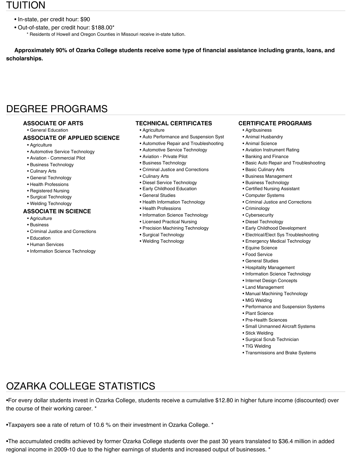### TUITION

- In-state, per credit hour: \$90
- Out-of-state, per credit hour: \$188.00\* \* Residents of Howell and Oregon Counties in Missouri receive in-state tuition.

**Approximately 90% of Ozarka College students receive some type of financial assistance including grants, loans, and scholarships.**

## DEGREE PROGRAMS

#### **ASSOCIATE OF ARTS**

• General Education

#### **ASSOCIATE OF APPLIED SCIENCE**

- Agriculture
- Automotive Service Technology
- Aviation Commercial Pilot
- Business Technology
- Culinary Arts
- General Technology
- Health Professions
- Registered Nursing
- Surgical Technology
- Welding Technology

#### **ASSOCIATE IN SCIENCE**

- Agriculture
- Business
- Criminal Justice and Corrections
- Education
- Human Services
- Information Science Technology

#### **TECHNICAL CERTIFICATES**

- Agriculture
- Auto Performance and Suspension Syst
- Automotive Repair and Troubleshooting
- Automotive Service Technology
- Aviation Private Pilot
- Business Technology
- Criminal Justice and Corrections
- Culinary Arts
- Diesel Service Technology
- Early Childhood Education
- General Studies
- Health Information Technology
- Health Professions
- Information Science Technology
- Licensed Practical Nursing
- Precision Machining Technology
- Surgical Technology
- Welding Technology

#### **CERTIFICATE PROGRAMS**

- Agribusiness
- Animal Husbandry
- Animal Science
- Aviation Instrument Rating
- Banking and Finance
- Basic Auto Repair and Troubleshooting
- Basic Culinary Arts
- Business Management
- Business Technology
- Certified Nursing Assistant
- Computer Systems
- Criminal Justice and Corrections
- Criminology
- Cybersecurity
- Diesel Technology
- Early Childhood Development
- Electrical/Elect Sys Troubleshooting
- Emergency Medical Technology
- Equine Science
- Food Service
- General Studies
- Hospitality Management
- Information Science Technology
- Internet Design Concepts
- Land Management
- Manual Machining Technology
- MIG Welding
	- Performance and Suspension Systems
	- Plant Science
	- Pre-Health Sciences
	- Small Unmanned Aircraft Systems
- Stick Welding
- Surgical Scrub Technician
- TIG Welding
- Transmissions and Brake Systems

# OZARKA COLLEGE STATISTICS

•For every dollar students invest in Ozarka College, students receive a cumulative \$12.80 in higher future income (discounted) over the course of their working career. \*

•Taxpayers see a rate of return of 10.6 % on their investment in Ozarka College. \*

•The accumulated credits achieved by former Ozarka College students over the past 30 years translated to \$36.4 million in added regional income in 2009-10 due to the higher earnings of students and increased output of businesses. \*